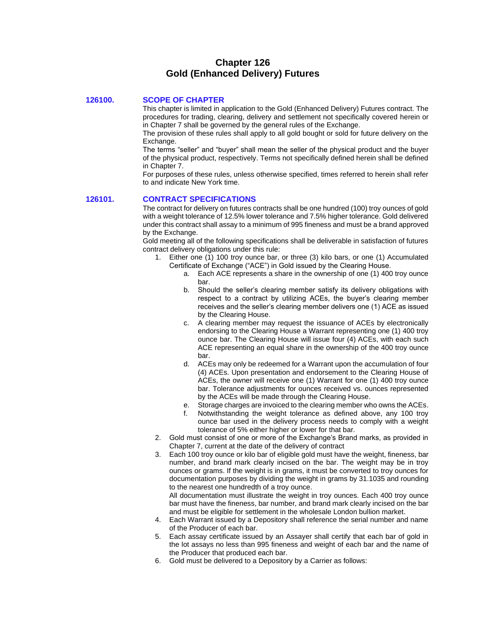# **Chapter 126 Gold (Enhanced Delivery) Futures**

## **126100. SCOPE OF CHAPTER**

This chapter is limited in application to the Gold (Enhanced Delivery) Futures contract. The procedures for trading, clearing, delivery and settlement not specifically covered herein or in Chapter 7 shall be governed by the general rules of the Exchange.

The provision of these rules shall apply to all gold bought or sold for future delivery on the Exchange.

The terms "seller" and "buyer" shall mean the seller of the physical product and the buyer of the physical product, respectively. Terms not specifically defined herein shall be defined in Chapter 7.

For purposes of these rules, unless otherwise specified, times referred to herein shall refer to and indicate New York time.

## **126101. CONTRACT SPECIFICATIONS**

The contract for delivery on futures contracts shall be one hundred (100) troy ounces of gold with a weight tolerance of 12.5% lower tolerance and 7.5% higher tolerance. Gold delivered under this contract shall assay to a minimum of 995 fineness and must be a brand approved by the Exchange.

Gold meeting all of the following specifications shall be deliverable in satisfaction of futures contract delivery obligations under this rule:

- 1. Either one (1) 100 troy ounce bar, or three (3) kilo bars, or one (1) Accumulated Certificate of Exchange ("ACE") in Gold issued by the Clearing House.
	- a. Each ACE represents a share in the ownership of one (1) 400 troy ounce bar.
	- b. Should the seller's clearing member satisfy its delivery obligations with respect to a contract by utilizing ACEs, the buyer's clearing member receives and the seller's clearing member delivers one (1) ACE as issued by the Clearing House.
	- c. A clearing member may request the issuance of ACEs by electronically endorsing to the Clearing House a Warrant representing one (1) 400 troy ounce bar. The Clearing House will issue four (4) ACEs, with each such ACE representing an equal share in the ownership of the 400 troy ounce bar.
	- d. ACEs may only be redeemed for a Warrant upon the accumulation of four (4) ACEs. Upon presentation and endorsement to the Clearing House of ACEs, the owner will receive one (1) Warrant for one (1) 400 troy ounce bar. Tolerance adjustments for ounces received vs. ounces represented by the ACEs will be made through the Clearing House.
	- e. Storage charges are invoiced to the clearing member who owns the ACEs.
	- f. Notwithstanding the weight tolerance as defined above, any 100 troy ounce bar used in the delivery process needs to comply with a weight tolerance of 5% either higher or lower for that bar.
- 2. Gold must consist of one or more of the Exchange's Brand marks, as provided in Chapter 7, current at the date of the delivery of contract
- 3. Each 100 troy ounce or kilo bar of eligible gold must have the weight, fineness, bar number, and brand mark clearly incised on the bar. The weight may be in troy ounces or grams. If the weight is in grams, it must be converted to troy ounces for documentation purposes by dividing the weight in grams by 31.1035 and rounding to the nearest one hundredth of a troy ounce.

All documentation must illustrate the weight in troy ounces. Each 400 troy ounce bar must have the fineness, bar number, and brand mark clearly incised on the bar and must be eligible for settlement in the wholesale London bullion market.

- 4. Each Warrant issued by a Depository shall reference the serial number and name of the Producer of each bar.
- 5. Each assay certificate issued by an Assayer shall certify that each bar of gold in the lot assays no less than 995 fineness and weight of each bar and the name of the Producer that produced each bar.
- 6. Gold must be delivered to a Depository by a Carrier as follows: